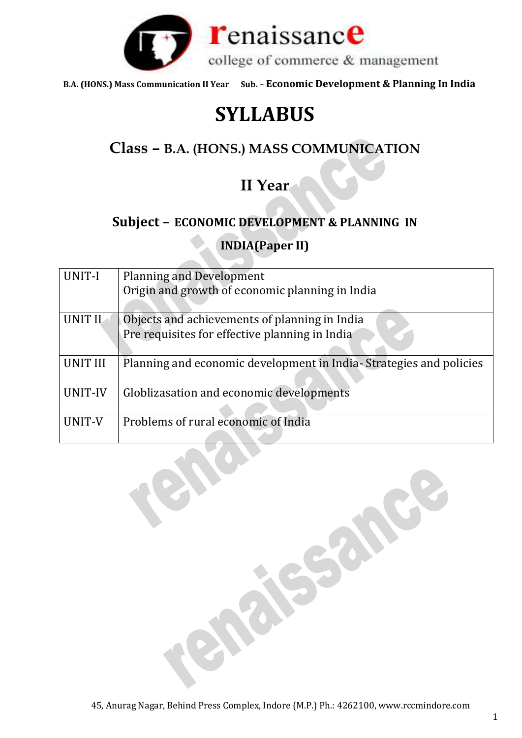

# **SYLLABUS**

## **Class – B.A. (HONS.) MASS COMMUNICATION**

## **II Year**

## **Subject – ECONOMIC DEVELOPMENT & PLANNING IN**

**INDIA(Paper II)**

| UNIT-I          | <b>Planning and Development</b><br>Origin and growth of economic planning in India              |
|-----------------|-------------------------------------------------------------------------------------------------|
| <b>UNIT II</b>  | Objects and achievements of planning in India<br>Pre requisites for effective planning in India |
| <b>UNIT III</b> | Planning and economic development in India-Strategies and policies                              |
| UNIT-IV         | Globlizasation and economic developments                                                        |
| UNIT-V          | Problems of rural economic of India                                                             |

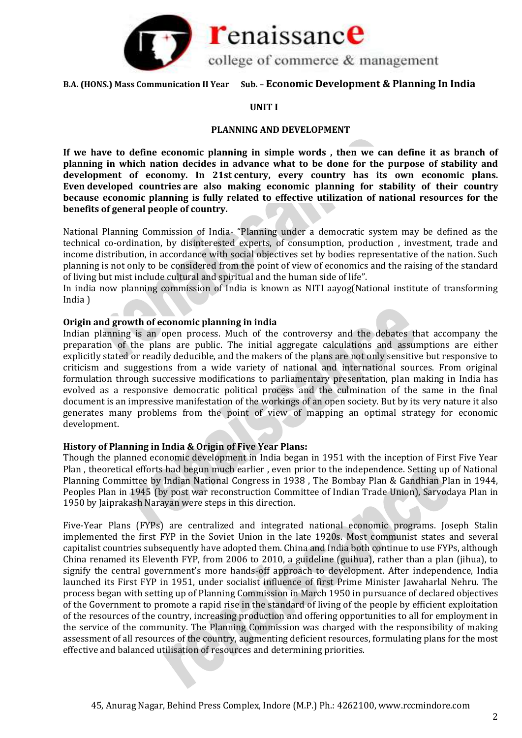

### **UNIT I**

## **PLANNING AND DEVELOPMENT**

**If we have to define economic planning in simple words , then we can define it as branch of planning in which nation decides in advance what to be done for the purpose of stability and development of economy. In 21st century, every country has its own economic plans. Even developed countries are also making economic planning for stability of their country because economic planning is fully related to effective utilization of national resources for the benefits of general people of country.**

National Planning Commission of India- "Planning under a democratic system may be defined as the technical co-ordination, by disinterested experts, of consumption, production , investment, trade and income distribution, in accordance with social objectives set by bodies representative of the nation. Such planning is not only to be considered from the point of view of economics and the raising of the standard of living but mist include cultural and spiritual and the human side of life".

In india now planning commission of India is known as NITI aayog(National institute of transforming India )

## **Origin and growth of economic planning in india**

Indian planning is an open process. Much of the controversy and the debates that accompany the preparation of the plans are public. The initial aggregate calculations and assumptions are either explicitly stated or readily deducible, and the makers of the plans are not only sensitive but responsive to criticism and suggestions from a wide variety of national and international sources. From original formulation through successive modifications to parliamentary presentation, plan making in India has evolved as a responsive democratic political process and the culmination of the same in the final document is an impressive manifestation of the workings of an open society. But by its very nature it also generates many problems from the point of view of mapping an optimal strategy for economic development.

#### **History of Planning in India & Origin of Five Year Plans:**

Though the planned economic development in India began in 1951 with the inception of First Five Year Plan , theoretical efforts had begun much earlier , even prior to the independence. Setting up of National Planning Committee by Indian National Congress in 1938 , The Bombay Plan & Gandhian Plan in 1944, Peoples Plan in 1945 (by post war reconstruction Committee of Indian Trade Union), Sarvodaya Plan in 1950 by Jaiprakash Narayan were steps in this direction.

Five-Year Plans (FYPs) are centralized and integrated national economic programs. Joseph Stalin implemented the first FYP in the Soviet Union in the late 1920s. Most communist states and several capitalist countries subsequently have adopted them. China and India both continue to use FYPs, although China renamed its Eleventh FYP, from 2006 to 2010, a guideline (guihua), rather than a plan (jihua), to signify the central government's more hands-off approach to development. After independence, India launched its First FYP in 1951, under socialist influence of first Prime Minister Jawaharlal Nehru. The process began with setting up of Planning Commission in March 1950 in pursuance of declared objectives of the Government to promote a rapid rise in the standard of living of the people by efficient exploitation of the resources of the country, increasing production and offering opportunities to all for employment in the service of the community. The Planning Commission was charged with the responsibility of making assessment of all resources of the country, augmenting deficient resources, formulating plans for the most effective and balanced utilisation of resources and determining priorities.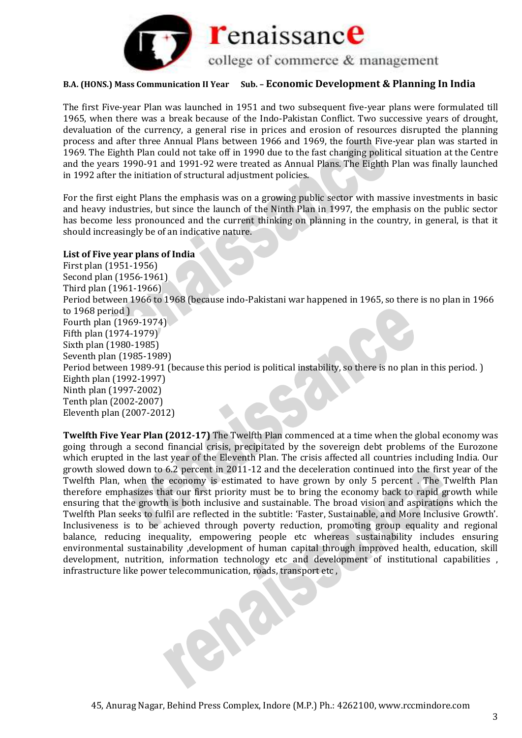

The first Five-year Plan was launched in 1951 and two subsequent five-year plans were formulated till 1965, when there was a break because of the Indo-Pakistan Conflict. Two successive years of drought, devaluation of the currency, a general rise in prices and erosion of resources disrupted the planning process and after three Annual Plans between 1966 and 1969, the fourth Five-year plan was started in 1969. The Eighth Plan could not take off in 1990 due to the fast changing political situation at the Centre and the years 1990-91 and 1991-92 were treated as Annual Plans. The Eighth Plan was finally launched in 1992 after the initiation of structural adjustment policies.

For the first eight Plans the emphasis was on a growing public sector with massive investments in basic and heavy industries, but since the launch of the Ninth Plan in 1997, the emphasis on the public sector has become less pronounced and the current thinking on planning in the country, in general, is that it should increasingly be of an indicative nature.

#### **List of Five year plans of India**

First plan (1951-1956) Second plan (1956-1961) Third plan (1961-1966) Period between 1966 to 1968 (because indo-Pakistani war happened in 1965, so there is no plan in 1966 to 1968 period ) Fourth plan (1969-1974) Fifth plan (1974-1979) Sixth plan (1980-1985) Seventh plan (1985-1989) Period between 1989-91 (because this period is political instability, so there is no plan in this period. ) Eighth plan (1992-1997) Ninth plan (1997-2002) Tenth plan (2002-2007) Eleventh plan (2007-2012)

**Twelfth Five Year Plan (2012-17)** The Twelfth Plan commenced at a time when the global economy was going through a second financial crisis, precipitated by the sovereign debt problems of the Eurozone which erupted in the last year of the Eleventh Plan. The crisis affected all countries including India. Our growth slowed down to 6.2 percent in 2011-12 and the deceleration continued into the first year of the Twelfth Plan, when the economy is estimated to have grown by only 5 percent . The Twelfth Plan therefore emphasizes that our first priority must be to bring the economy back to rapid growth while ensuring that the growth is both inclusive and sustainable. The broad vision and aspirations which the Twelfth Plan seeks to fulfil are reflected in the subtitle: 'Faster, Sustainable, and More Inclusive Growth'. Inclusiveness is to be achieved through poverty reduction, promoting group equality and regional balance, reducing inequality, empowering people etc whereas sustainability includes ensuring environmental sustainability ,development of human capital through improved health, education, skill development, nutrition, information technology etc and development of institutional capabilities , infrastructure like power telecommunication, roads, transport etc ,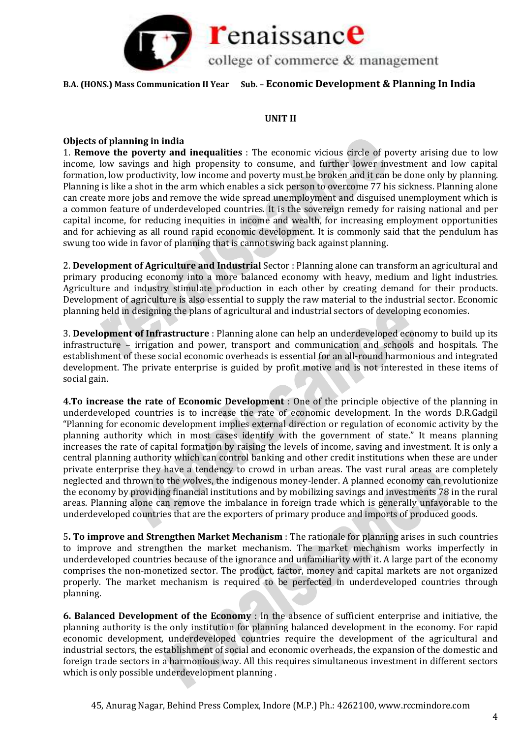

## **UNIT II**

## **Objects of planning in india**

1. **Remove the poverty and inequalities** : The economic vicious circle of poverty arising due to low income, low savings and high propensity to consume, and further lower investment and low capital formation, low productivity, low income and poverty must be broken and it can be done only by planning. Planning is like a shot in the arm which enables a sick person to overcome 77 his sickness. Planning alone can create more jobs and remove the wide spread unemployment and disguised unemployment which is a common feature of underdeveloped countries. It is the sovereign remedy for raising national and per capital income, for reducing inequities in income and wealth, for increasing employment opportunities and for achieving as all round rapid economic development. It is commonly said that the pendulum has swung too wide in favor of planning that is cannot swing back against planning.

2. **Development of Agriculture and Industrial** Sector : Planning alone can transform an agricultural and primary producing economy into a more balanced economy with heavy, medium and light industries. Agriculture and industry stimulate production in each other by creating demand for their products. Development of agriculture is also essential to supply the raw material to the industrial sector. Economic planning held in designing the plans of agricultural and industrial sectors of developing economies.

3. **Development of Infrastructure** : Planning alone can help an underdeveloped economy to build up its infrastructure – irrigation and power, transport and communication and schools and hospitals. The establishment of these social economic overheads is essential for an all-round harmonious and integrated development. The private enterprise is guided by profit motive and is not interested in these items of social gain.

**4.To increase the rate of Economic Development** : One of the principle objective of the planning in underdeveloped countries is to increase the rate of economic development. In the words D.R.Gadgil "Planning for economic development implies external direction or regulation of economic activity by the planning authority which in most cases identify with the government of state." It means planning increases the rate of capital formation by raising the levels of income, saving and investment. It is only a central planning authority which can control banking and other credit institutions when these are under private enterprise they have a tendency to crowd in urban areas. The vast rural areas are completely neglected and thrown to the wolves, the indigenous money-lender. A planned economy can revolutionize the economy by providing financial institutions and by mobilizing savings and investments 78 in the rural areas. Planning alone can remove the imbalance in foreign trade which is generally unfavorable to the underdeveloped countries that are the exporters of primary produce and imports of produced goods.

5**. To improve and Strengthen Market Mechanism** : The rationale for planning arises in such countries to improve and strengthen the market mechanism. The market mechanism works imperfectly in underdeveloped countries because of the ignorance and unfamiliarity with it. A large part of the economy comprises the non-monetized sector. The product, factor, money and capital markets are not organized properly. The market mechanism is required to be perfected in underdeveloped countries through planning.

**6. Balanced Development of the Economy** : In the absence of sufficient enterprise and initiative, the planning authority is the only institution for planning balanced development in the economy. For rapid economic development, underdeveloped countries require the development of the agricultural and industrial sectors, the establishment of social and economic overheads, the expansion of the domestic and foreign trade sectors in a harmonious way. All this requires simultaneous investment in different sectors which is only possible underdevelopment planning .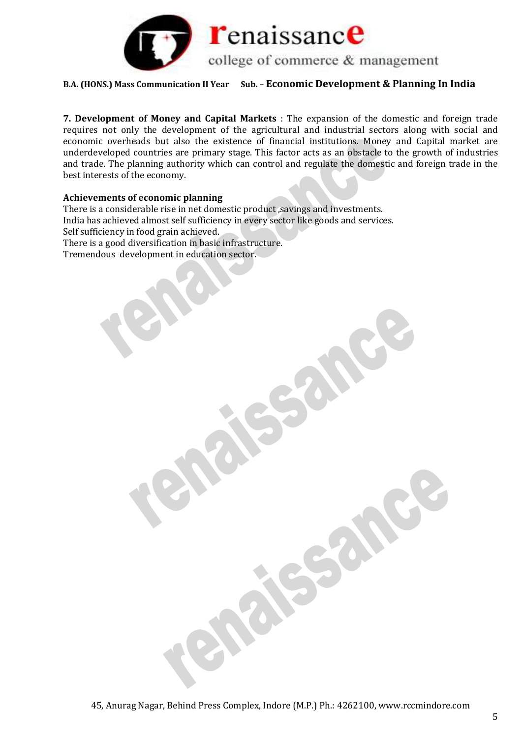

**7. Development of Money and Capital Markets** : The expansion of the domestic and foreign trade requires not only the development of the agricultural and industrial sectors along with social and economic overheads but also the existence of financial institutions. Money and Capital market are underdeveloped countries are primary stage. This factor acts as an obstacle to the growth of industries and trade. The planning authority which can control and regulate the domestic and foreign trade in the best interests of the economy.

#### **Achievements of economic planning**

There is a considerable rise in net domestic product ,savings and investments. India has achieved almost self sufficiency in every sector like goods and services. Self sufficiency in food grain achieved. There is a good diversification in basic infrastructure. Tremendous development in education sector.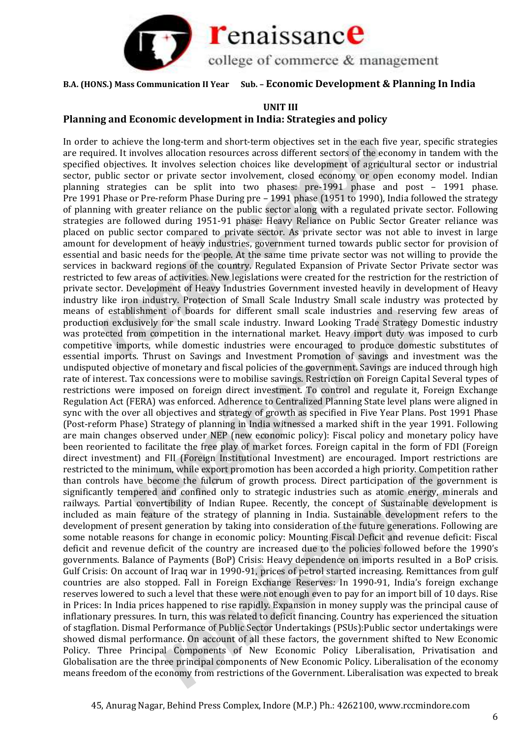

## **UNIT III**

## **Planning and Economic development in India: Strategies and policy**

In order to achieve the long-term and short-term objectives set in the each five year, specific strategies are required. It involves allocation resources across different sectors of the economy in tandem with the specified objectives. It involves selection choices like development of agricultural sector or industrial sector, public sector or private sector involvement, closed economy or open economy model. Indian planning strategies can be split into two phases: pre-1991 phase and post – 1991 phase. Pre 1991 Phase or Pre-reform Phase During pre – 1991 phase (1951 to 1990), India followed the strategy of planning with greater reliance on the public sector along with a regulated private sector. Following strategies are followed during 1951-91 phase: Heavy Reliance on Public Sector Greater reliance was placed on public sector compared to private sector. As private sector was not able to invest in large amount for development of heavy industries, government turned towards public sector for provision of essential and basic needs for the people. At the same time private sector was not willing to provide the services in backward regions of the country. Regulated Expansion of Private Sector Private sector was restricted to few areas of activities. New legislations were created for the restriction for the restriction of private sector. Development of Heavy Industries Government invested heavily in development of Heavy industry like iron industry. Protection of Small Scale Industry Small scale industry was protected by means of establishment of boards for different small scale industries and reserving few areas of production exclusively for the small scale industry. Inward Looking Trade Strategy Domestic industry was protected from competition in the international market. Heavy import duty was imposed to curb competitive imports, while domestic industries were encouraged to produce domestic substitutes of essential imports. Thrust on Savings and Investment Promotion of savings and investment was the undisputed objective of monetary and fiscal policies of the government. Savings are induced through high rate of interest. Tax concessions were to mobilise savings. Restriction on Foreign Capital Several types of restrictions were imposed on foreign direct investment. To control and regulate it, Foreign Exchange Regulation Act (FERA) was enforced. Adherence to Centralized Planning State level plans were aligned in sync with the over all objectives and strategy of growth as specified in Five Year Plans. Post 1991 Phase (Post-reform Phase) Strategy of planning in India witnessed a marked shift in the year 1991. Following are main changes observed under NEP (new economic policy): Fiscal policy and monetary policy have been reoriented to facilitate the free play of market forces. Foreign capital in the form of FDI (Foreign direct investment) and FII (Foreign Institutional Investment) are encouraged. Import restrictions are restricted to the minimum, while export promotion has been accorded a high priority. Competition rather than controls have become the fulcrum of growth process. Direct participation of the government is significantly tempered and confined only to strategic industries such as atomic energy, minerals and railways. Partial convertibility of Indian Rupee. Recently, the concept of Sustainable development is included as main feature of the strategy of planning in India. Sustainable development refers to the development of present generation by taking into consideration of the future generations. Following are some notable reasons for change in economic policy: Mounting Fiscal Deficit and revenue deficit: Fiscal deficit and revenue deficit of the country are increased due to the policies followed before the 1990's governments. Balance of Payments (BoP) Crisis: Heavy dependence on imports resulted in a BoP crisis. Gulf Crisis: On account of Iraq war in 1990-91, prices of petrol started increasing. Remittances from gulf countries are also stopped. Fall in Foreign Exchange Reserves: In 1990-91, India's foreign exchange reserves lowered to such a level that these were not enough even to pay for an import bill of 10 days. Rise in Prices: In India prices happened to rise rapidly. Expansion in money supply was the principal cause of inflationary pressures. In turn, this was related to deficit financing. Country has experienced the situation of stagflation. Dismal Performance of Public Sector Undertakings (PSUs):Public sector undertakings were showed dismal performance. On account of all these factors, the government shifted to New Economic Policy. Three Principal Components of New Economic Policy Liberalisation, Privatisation and Globalisation are the three principal components of New Economic Policy. Liberalisation of the economy means freedom of the economy from restrictions of the Government. Liberalisation was expected to break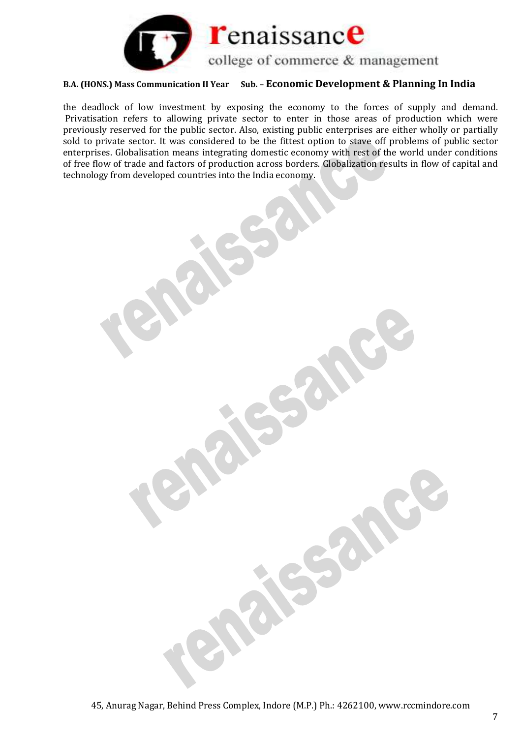

the deadlock of low investment by exposing the economy to the forces of supply and demand. Privatisation refers to allowing private sector to enter in those areas of production which were previously reserved for the public sector. Also, existing public enterprises are either wholly or partially sold to private sector. It was considered to be the fittest option to stave off problems of public sector enterprises. Globalisation means integrating domestic economy with rest of the world under conditions of free flow of trade and factors of production across borders. Globalization results in flow of capital and technology from developed countries into the India economy.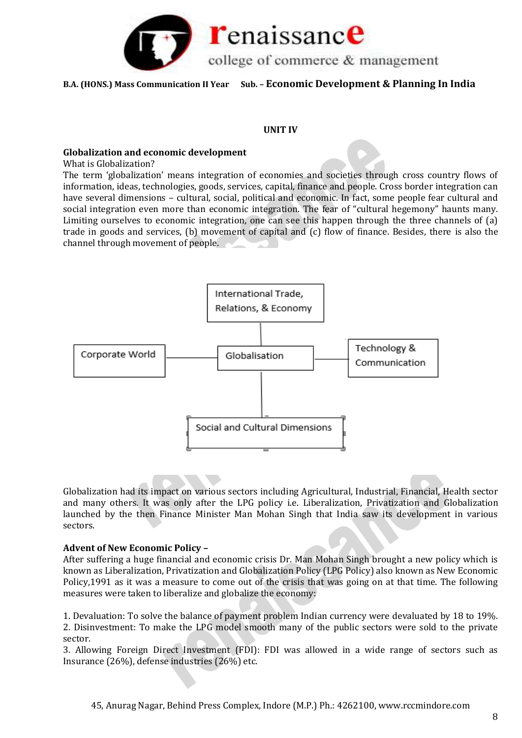

### **UNIT IV**

### **Globalization and economic development**

What is Globalization?

The term 'globalization' means integration of economies and societies through cross country flows of information, ideas, technologies, goods, services, capital, finance and people. Cross border integration can have several dimensions – cultural, social, political and economic. In fact, some people fear cultural and social integration even more than economic integration. The fear of "cultural hegemony" haunts many. Limiting ourselves to economic integration, one can see this happen through the three channels of (a) trade in goods and services, (b) movement of capital and (c) flow of finance. Besides, there is also the channel through movement of people.



Globalization had its impact on various sectors including Agricultural, Industrial, Financial, Health sector and many others. It was only after the LPG policy i.e. Liberalization, Privatization and Globalization launched by the then Finance Minister Man Mohan Singh that India saw its development in various sectors.

## **Advent of New Economic Policy –**

After suffering a huge financial and economic crisis Dr. Man Mohan Singh brought a new policy which is known as Liberalization, Privatization and Globalization Policy (LPG Policy) also known as New Economic Policy,1991 as it was a measure to come out of the crisis that was going on at that time. The following measures were taken to liberalize and globalize the economy:

1. Devaluation: To solve the balance of payment problem Indian currency were devaluated by 18 to 19%. 2. Disinvestment: To make the LPG model smooth many of the public sectors were sold to the private sector.

3. Allowing Foreign Direct Investment (FDI): FDI was allowed in a wide range of sectors such as Insurance (26%), defense industries (26%) etc.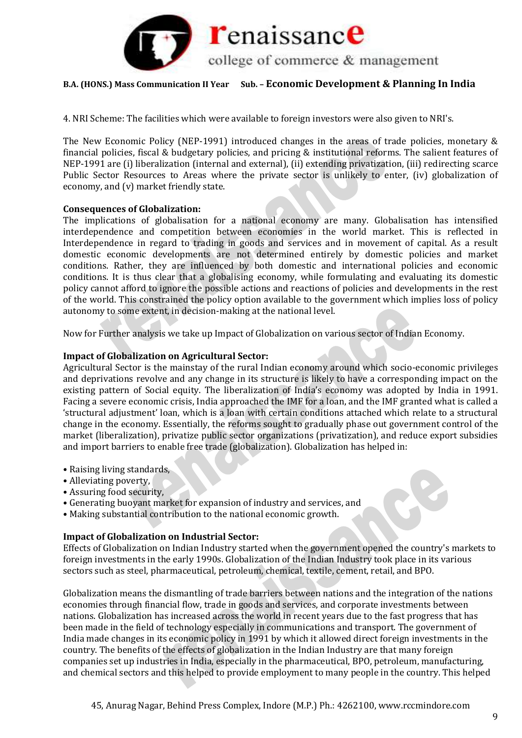

4. NRI Scheme: The facilities which were available to foreign investors were also given to NRI's.

The New Economic Policy (NEP-1991) introduced changes in the areas of trade policies, monetary & financial policies, fiscal & budgetary policies, and pricing & institutional reforms. The salient features of NEP-1991 are (i) liberalization (internal and external), (ii) extending privatization, (iii) redirecting scarce Public Sector Resources to Areas where the private sector is unlikely to enter, (iv) globalization of economy, and (v) market friendly state.

## **Consequences of Globalization:**

The implications of globalisation for a national economy are many. Globalisation has intensified interdependence and competition between economies in the world market. This is reflected in Interdependence in regard to trading in goods and services and in movement of capital. As a result domestic economic developments are not determined entirely by domestic policies and market conditions. Rather, they are influenced by both domestic and international policies and economic conditions. It is thus clear that a globalising economy, while formulating and evaluating its domestic policy cannot afford to ignore the possible actions and reactions of policies and developments in the rest of the world. This constrained the policy option available to the government which implies loss of policy autonomy to some extent, in decision-making at the national level.

Now for Further analysis we take up Impact of Globalization on various sector of Indian Economy.

## **Impact of Globalization on Agricultural Sector:**

Agricultural Sector is the mainstay of the rural Indian economy around which socio-economic privileges and deprivations revolve and any change in its structure is likely to have a corresponding impact on the existing pattern of Social equity. The liberalization of India's economy was adopted by India in 1991. Facing a severe economic crisis, India approached the IMF for a loan, and the IMF granted what is called a 'structural adjustment' loan, which is a loan with certain conditions attached which relate to a structural change in the economy. Essentially, the reforms sought to gradually phase out government control of the market (liberalization), privatize public sector organizations (privatization), and reduce export subsidies and import barriers to enable free trade (globalization). Globalization has helped in:

- Raising living standards,
- Alleviating poverty,
- Assuring food security,
- Generating buoyant market for expansion of industry and services, and
- Making substantial contribution to the national economic growth.

#### **Impact of Globalization on Industrial Sector:**

Effects of Globalization on Indian Industry started when the government opened the country's markets to foreign investments in the early 1990s. Globalization of the Indian Industry took place in its various sectors such as steel, pharmaceutical, petroleum, chemical, textile, cement, retail, and BPO.

Globalization means the dismantling of trade barriers between nations and the integration of the nations economies through financial flow, trade in goods and services, and corporate investments between nations. Globalization has increased across the world in recent years due to the fast progress that has been made in the field of technology especially in communications and transport. The government of India made changes in its economic policy in 1991 by which it allowed direct foreign investments in the country. The benefits of the effects of globalization in the Indian Industry are that many foreign companies set up industries in India, especially in the pharmaceutical, BPO, petroleum, manufacturing, and chemical sectors and this helped to provide employment to many people in the country. This helped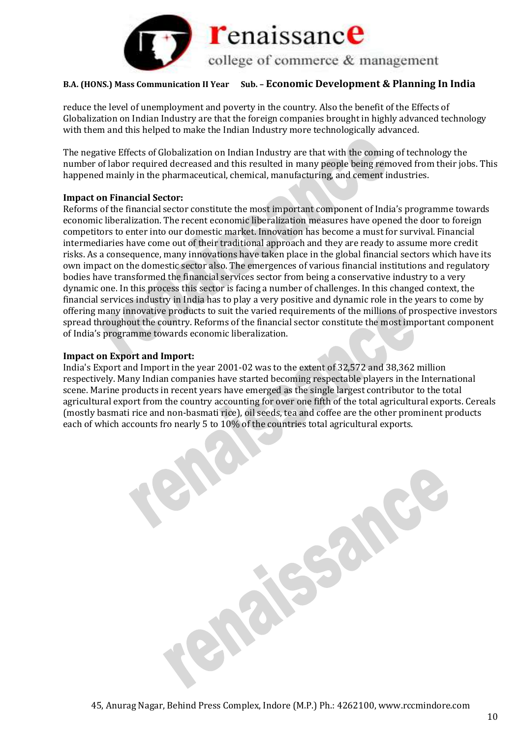

reduce the level of unemployment and poverty in the country. Also the benefit of the Effects of Globalization on Indian Industry are that the foreign companies brought in highly advanced technology with them and this helped to make the Indian Industry more technologically advanced.

The negative Effects of Globalization on Indian Industry are that with the coming of technology the number of labor required decreased and this resulted in many people being removed from their jobs. This happened mainly in the pharmaceutical, chemical, manufacturing, and cement industries.

## **Impact on Financial Sector:**

Reforms of the financial sector constitute the most important component of India's programme towards economic liberalization. The recent economic liberalization measures have opened the door to foreign competitors to enter into our domestic market. Innovation has become a must for survival. Financial intermediaries have come out of their traditional approach and they are ready to assume more credit risks. As a consequence, many innovations have taken place in the global financial sectors which have its own impact on the domestic sector also. The emergences of various financial institutions and regulatory bodies have transformed the financial services sector from being a conservative industry to a very dynamic one. In this process this sector is facing a number of challenges. In this changed context, the financial services industry in India has to play a very positive and dynamic role in the years to come by offering many innovative products to suit the varied requirements of the millions of prospective investors spread throughout the country. Reforms of the financial sector constitute the most important component of India's programme towards economic liberalization.

## **Impact on Export and Import:**

India's Export and Import in the year 2001-02 was to the extent of 32,572 and 38,362 million respectively. Many Indian companies have started becoming respectable players in the International scene. Marine products in recent years have emerged as the single largest contributor to the total agricultural export from the country accounting for over one fifth of the total agricultural exports. Cereals (mostly basmati rice and non-basmati rice), oil seeds, tea and coffee are the other prominent products each of which accounts fro nearly 5 to 10% of the countries total agricultural exports.